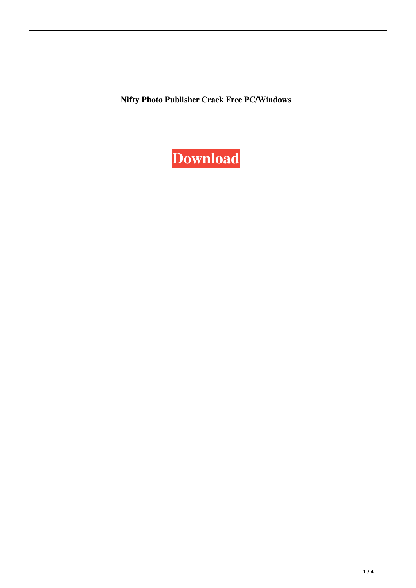**Nifty Photo Publisher Crack Free PC/Windows**

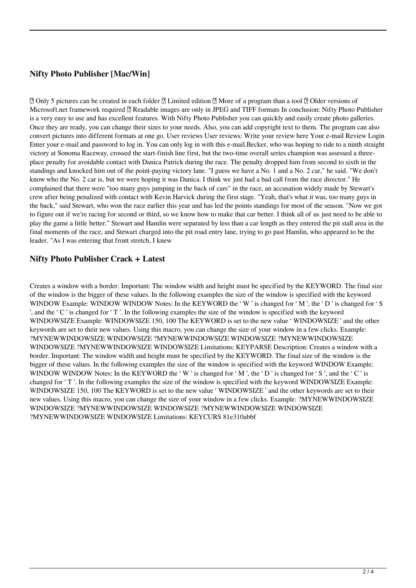# **Nifty Photo Publisher [Mac/Win]**

■ Only 5 pictures can be created in each folder ■ Limited edition ■ More of a program than a tool ■ Older versions of Microsoft.net framework required **M** Readable images are only in JPEG and TIFF formats In conclusion: Nifty Photo Publisher is a very easy to use and has excellent features. With Nifty Photo Publisher you can quickly and easily create photo galleries. Once they are ready, you can change their sizes to your needs. Also, you can add copyright text to them. The program can also convert pictures into different formats at one go. User reviews User reviews: Write your review here Your e-mail Review Login Enter your e-mail and password to log in. You can only log in with this e-mail.Becker, who was hoping to ride to a ninth straight victory at Sonoma Raceway, crossed the start-finish line first, but the two-time overall series champion was assessed a threeplace penalty for avoidable contact with Danica Patrick during the race. The penalty dropped him from second to sixth in the standings and knocked him out of the point-paying victory lane. "I guess we have a No. 1 and a No. 2 car," he said. "We don't know who the No. 2 car is, but we were hoping it was Danica. I think we just had a bad call from the race director." He complained that there were "too many guys jumping in the back of cars" in the race, an accusation widely made by Stewart's crew after being penalized with contact with Kevin Harvick during the first stage. "Yeah, that's what it was, too many guys in the back," said Stewart, who won the race earlier this year and has led the points standings for most of the season. "Now we got to figure out if we're racing for second or third, so we know how to make that car better. I think all of us just need to be able to play the game a little better." Stewart and Hamlin were separated by less than a car length as they entered the pit stall area in the final moments of the race, and Stewart charged into the pit road entry lane, trying to go past Hamlin, who appeared to be the leader. "As I was entering that front stretch, I knew

### **Nifty Photo Publisher Crack + Latest**

Creates a window with a border. Important: The window width and height must be specified by the KEYWORD. The final size of the window is the bigger of these values. In the following examples the size of the window is specified with the keyword WINDOW Example: WINDOW WINDOW Notes: In the KEYWORD the 'W' is changed for 'M', the 'D' is changed for 'S ', and the  $C'$  is changed for  $T'$ . In the following examples the size of the window is specified with the keyword WINDOWSIZE Example: WINDOWSIZE 150, 100 The KEYWORD is set to the new value ' WINDOWSIZE ' and the other keywords are set to their new values. Using this macro, you can change the size of your window in a few clicks. Example: ?MYNEWWINDOWSIZE WINDOWSIZE ?MYNEWWINDOWSIZE WINDOWSIZE ?MYNEWWINDOWSIZE WINDOWSIZE ?MYNEWWINDOWSIZE WINDOWSIZE Limitations: KEYPARSE Description: Creates a window with a border. Important: The window width and height must be specified by the KEYWORD. The final size of the window is the bigger of these values. In the following examples the size of the window is specified with the keyword WINDOW Example: WINDOW WINDOW Notes: In the KEYWORD the 'W' is changed for 'M', the 'D' is changed for 'S', and the 'C' is changed for 'T'. In the following examples the size of the window is specified with the keyword WINDOWSIZE Example: WINDOWSIZE 150, 100 The KEYWORD is set to the new value ' WINDOWSIZE ' and the other keywords are set to their new values. Using this macro, you can change the size of your window in a few clicks. Example: ?MYNEWWINDOWSIZE WINDOWSIZE ?MYNEWWINDOWSIZE WINDOWSIZE ?MYNEWWINDOWSIZE WINDOWSIZE ?MYNEWWINDOWSIZE WINDOWSIZE Limitations: KEYCURS 81e310abbf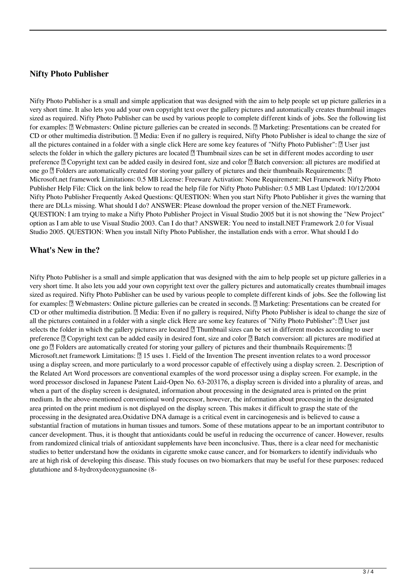#### **Nifty Photo Publisher**

Nifty Photo Publisher is a small and simple application that was designed with the aim to help people set up picture galleries in a very short time. It also lets you add your own copyright text over the gallery pictures and automatically creates thumbnail images sized as required. Nifty Photo Publisher can be used by various people to complete different kinds of jobs. See the following list for examples:  $\mathbb{N}$  Webmasters: Online picture galleries can be created in seconds.  $\mathbb{N}$  Marketing: Presentations can be created for CD or other multimedia distribution. <sup>2</sup> Media: Even if no gallery is required, Nifty Photo Publisher is ideal to change the size of all the pictures contained in a folder with a single click Here are some key features of "Nifty Photo Publisher":  $[$ ] User just selects the folder in which the gallery pictures are located  $[$ Thumbnail sizes can be set in different modes according to user preference  $\mathbb{Z}$  Copyright text can be added easily in desired font, size and color  $\mathbb{Z}$  Batch conversion: all pictures are modified at one go  $\mathbb{Z}$  Folders are automatically created for storing your gallery of pictures and their thumbnails Requirements:  $\mathbb{Z}$ Microsoft.net framework Limitations: 0.5 MB License: Freeware Activation: None Requirement:.Net Framework Nifty Photo Publisher Help File: Click on the link below to read the help file for Nifty Photo Publisher: 0.5 MB Last Updated: 10/12/2004 Nifty Photo Publisher Frequently Asked Questions: QUESTION: When you start Nifty Photo Publisher it gives the warning that there are DLLs missing. What should I do? ANSWER: Please download the proper version of the.NET Framework. QUESTION: I am trying to make a Nifty Photo Publisher Project in Visual Studio 2005 but it is not showing the "New Project" option as I am able to use Visual Studio 2003. Can I do that? ANSWER: You need to install.NET Framework 2.0 for Visual Studio 2005. QUESTION: When you install Nifty Photo Publisher, the installation ends with a error. What should I do

#### **What's New in the?**

Nifty Photo Publisher is a small and simple application that was designed with the aim to help people set up picture galleries in a very short time. It also lets you add your own copyright text over the gallery pictures and automatically creates thumbnail images sized as required. Nifty Photo Publisher can be used by various people to complete different kinds of jobs. See the following list for examples:  $\mathbb{N}$  Webmasters: Online picture galleries can be created in seconds.  $\mathbb{N}$  Marketing: Presentations can be created for CD or other multimedia distribution. <sup>2</sup> Media: Even if no gallery is required, Nifty Photo Publisher is ideal to change the size of all the pictures contained in a folder with a single click Here are some key features of "Nifty Photo Publisher":  $[$ ] User just selects the folder in which the gallery pictures are located  $[$ Thumbnail sizes can be set in different modes according to user preference  $\mathbb{Z}$  Copyright text can be added easily in desired font, size and color  $\mathbb{Z}$  Batch conversion: all pictures are modified at one go  $\mathbb{Z}$  Folders are automatically created for storing your gallery of pictures and their thumbnails Requirements:  $\mathbb{Z}$ Microsoft.net framework Limitations:  $\sqrt{2}$  15 uses 1. Field of the Invention The present invention relates to a word processor using a display screen, and more particularly to a word processor capable of effectively using a display screen. 2. Description of the Related Art Word processors are conventional examples of the word processor using a display screen. For example, in the word processor disclosed in Japanese Patent Laid-Open No. 63-203176, a display screen is divided into a plurality of areas, and when a part of the display screen is designated, information about processing in the designated area is printed on the print medium. In the above-mentioned conventional word processor, however, the information about processing in the designated area printed on the print medium is not displayed on the display screen. This makes it difficult to grasp the state of the processing in the designated area.Oxidative DNA damage is a critical event in carcinogenesis and is believed to cause a substantial fraction of mutations in human tissues and tumors. Some of these mutations appear to be an important contributor to cancer development. Thus, it is thought that antioxidants could be useful in reducing the occurrence of cancer. However, results from randomized clinical trials of antioxidant supplements have been inconclusive. Thus, there is a clear need for mechanistic studies to better understand how the oxidants in cigarette smoke cause cancer, and for biomarkers to identify individuals who are at high risk of developing this disease. This study focuses on two biomarkers that may be useful for these purposes: reduced glutathione and 8-hydroxydeoxyguanosine (8-